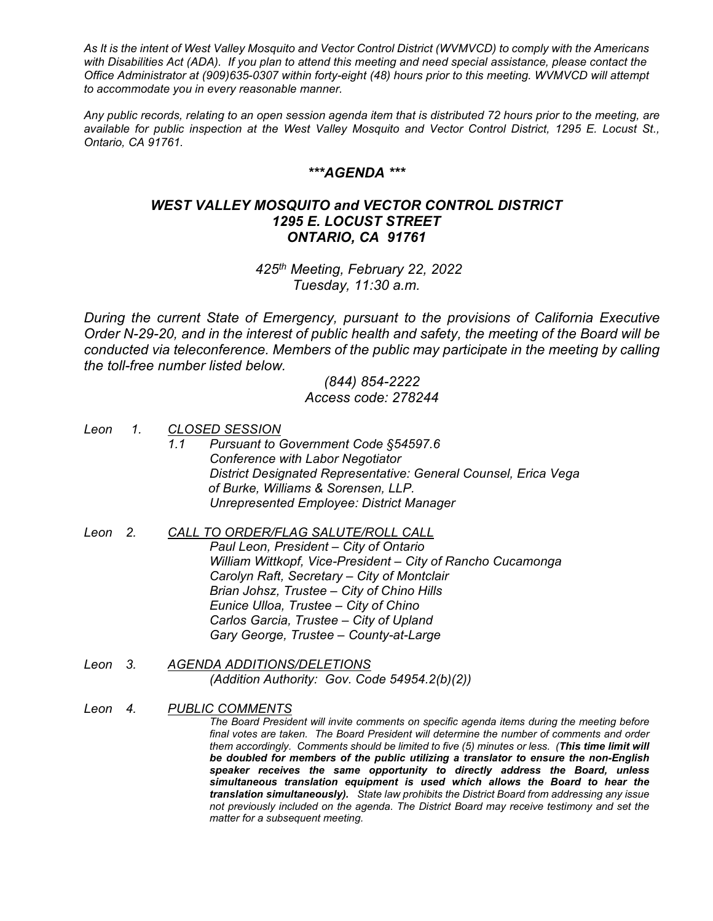*As It is the intent of West Valley Mosquito and Vector Control District (WVMVCD) to comply with the Americans with Disabilities Act (ADA). If you plan to attend this meeting and need special assistance, please contact the Office Administrator at (909)635-0307 within forty-eight (48) hours prior to this meeting. WVMVCD will attempt to accommodate you in every reasonable manner.*

*Any public records, relating to an open session agenda item that is distributed 72 hours prior to the meeting, are available for public inspection at the West Valley Mosquito and Vector Control District, 1295 E. Locust St., Ontario, CA 91761.*

### *\*\*\*AGENDA \*\*\**

## *WEST VALLEY MOSQUITO and VECTOR CONTROL DISTRICT 1295 E. LOCUST STREET ONTARIO, CA 91761*

*425th Meeting, February 22, 2022 Tuesday, 11:30 a.m.*

*During the current State of Emergency, pursuant to the provisions of California Executive Order N-29-20, and in the interest of public health and safety, the meeting of the Board will be*  conducted via teleconference. Members of the public may participate in the meeting by calling *the toll-free number listed below.*

# *(844) 854-2222 Access code: 278244*

- *Leon 1. CLOSED SESSION 1.1 Pursuant to Government Code §54597.6 Conference with Labor Negotiator District Designated Representative: General Counsel, Erica Vega of Burke, Williams & Sorensen, LLP. Unrepresented Employee: District Manager*
- *Leon 2. CALL TO ORDER/FLAG SALUTE/ROLL CALL Paul Leon, President – City of Ontario William Wittkopf, Vice-President – City of Rancho Cucamonga Carolyn Raft, Secretary – City of Montclair Brian Johsz, Trustee – City of Chino Hills Eunice Ulloa, Trustee – City of Chino Carlos Garcia, Trustee – City of Upland Gary George, Trustee – County-at-Large*
- *Leon 3. AGENDA ADDITIONS/DELETIONS (Addition Authority: Gov. Code 54954.2(b)(2))*
- *Leon 4. PUBLIC COMMENTS The Board President will invite comments on specific agenda items during the meeting before final votes are taken. The Board President will determine the number of comments and order them accordingly. Comments should be limited to five (5) minutes or less. (This time limit will be doubled for members of the public utilizing a translator to ensure the non-English speaker receives the same opportunity to directly address the Board, unless simultaneous translation equipment is used which allows the Board to hear the translation simultaneously). State law prohibits the District Board from addressing any issue not previously included on the agenda. The District Board may receive testimony and set the matter for a subsequent meeting.*